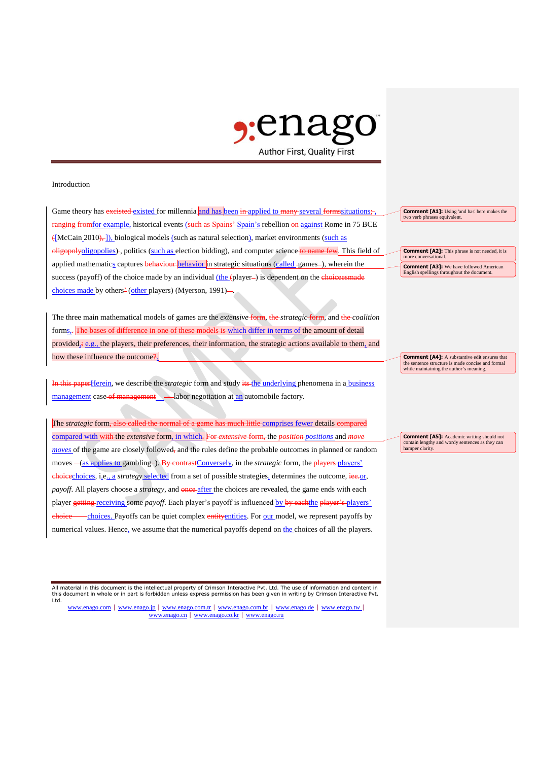

## Introduction

Game theory has excisted existed for millennia and has been in applied to many several formssituations; ranging from for example, historical events (such as Spains' Spain's rebellion on against Rome in 75 BCE  $\{[McCain 2010],]\}$ , biological models (such as natural selection), market environments (such as oligopolyoligopolies) -, politics (such as election bidding), and computer science to name few. This field of applied mathematics captures behaviour behavior in strategic situations (called -games-), wherein the success (payoff) of the choice made by an individual (the (player-) is dependent on the choiceesmade choices made by others<sup>2</sup> (other players) (Myerson, 1991)-

The three main mathematical models of games are the *extensive* form, the *strategic* form, and the *coalition*  forms.. The bases of difference in one of these models is which differ in terms of the amount of detail provided, $\pm$  e.g., the players, their preferences, their information, the strategic actions available to them, and how these influence the outcome?.

In this paperHerein, we describe the *strategic* form and study its the underlying phenomena in a **business** management case of management - labor negotiation at an automobile factory.

The *strategic* form, also called the normal of a game has much little comprises fewer details compared compared with with the *extensive* form, in which. For *extensive* form, the *position positions* and *m moves* of the game are closely followed, and the rules define the probable outcomes in planned or random moves  $-(as$  applies to gambling-). By contrastConversely, in the *strategic* form, the players players' choicechoices, i.e., a *strategy* selected from a set of possible strategies, determines the outcome, iee.or, *payoff*. All players choose a *strategy*, and **once** after the choices are revealed, the game ends with each player getting receiving some *payoff*. Each player's payoff is influenced by by eachthe player's players' -choices. Payoffs can be quiet complex entity entities. For our model, we represent payoffs by numerical values. Hence, we assume that the numerical payoffs depend on the choices of all the players.

All material in this document is the intellectual property of Crimson Interactive Pvt. Ltd. The use of information and content in this document in whole or in part is forbidden unless express permission has been given in writing by Crimson Interactive Pvt. Ltd.

www.enago.com | www.enago.jp | www.enago.com.tr | www.enago.com.br | www.enago.de | www.enago.tw | www.enago.cn | www.enago.co.kr | www.enago.ru

**Comment [A1]:** Using 'and has' here makes the two verb phrases equivalent.

**Comment [A2]:** This phrase is not needed, it is more conversational. **Comment [A3]:** We have followed American

English spellings throughout the document.

**Comment [A4]:** A substantive edit ensures that the sentence structure is made concise and formal while maintaining the author's meaning.

**Comment [A5]:** Academic writing should not contain lengthy and wordy sentences as they can hamper clarity.